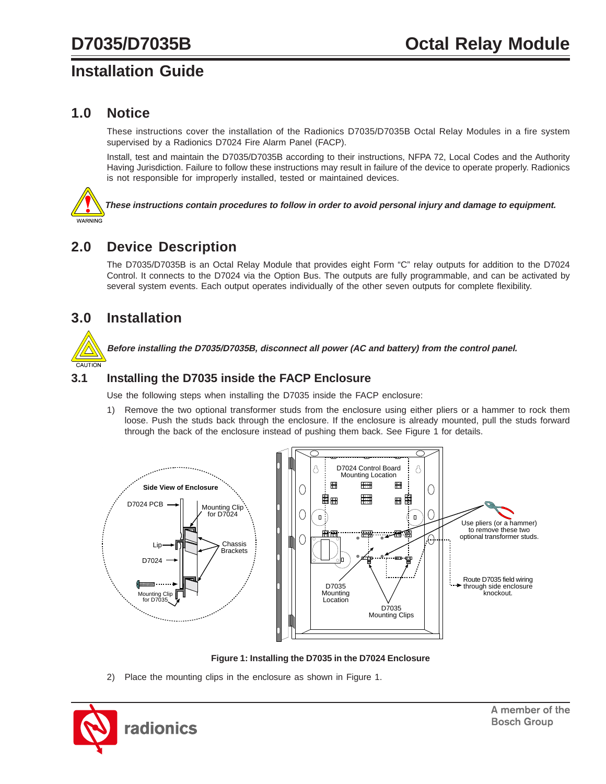# **Installation Guide**

### **1.0 Notice**

These instructions cover the installation of the Radionics D7035/D7035B Octal Relay Modules in a fire system supervised by a Radionics D7024 Fire Alarm Panel (FACP).

Install, test and maintain the D7035/D7035B according to their instructions, NFPA 72, Local Codes and the Authority Having Jurisdiction. Failure to follow these instructions may result in failure of the device to operate properly. Radionics is not responsible for improperly installed, tested or maintained devices.

**These instructions contain procedures to follow in order to avoid personal injury and damage to equipment.**

### **2.0 Device Description**

The D7035/D7035B is an Octal Relay Module that provides eight Form "C" relay outputs for addition to the D7024 Control. It connects to the D7024 via the Option Bus. The outputs are fully programmable, and can be activated by several system events. Each output operates individually of the other seven outputs for complete flexibility.

### **3.0 Installation**

**Before installing the D7035/D7035B, disconnect all power (AC and battery) from the control panel.**

### **3.1 Installing the D7035 inside the FACP Enclosure**

Use the following steps when installing the D7035 inside the FACP enclosure:

1) Remove the two optional transformer studs from the enclosure using either pliers or a hammer to rock them loose. Push the studs back through the enclosure. If the enclosure is already mounted, pull the studs forward through the back of the enclosure instead of pushing them back. See Figure 1 for details.



**Figure 1: Installing the D7035 in the D7024 Enclosure**

2) Place the mounting clips in the enclosure as shown in Figure 1.

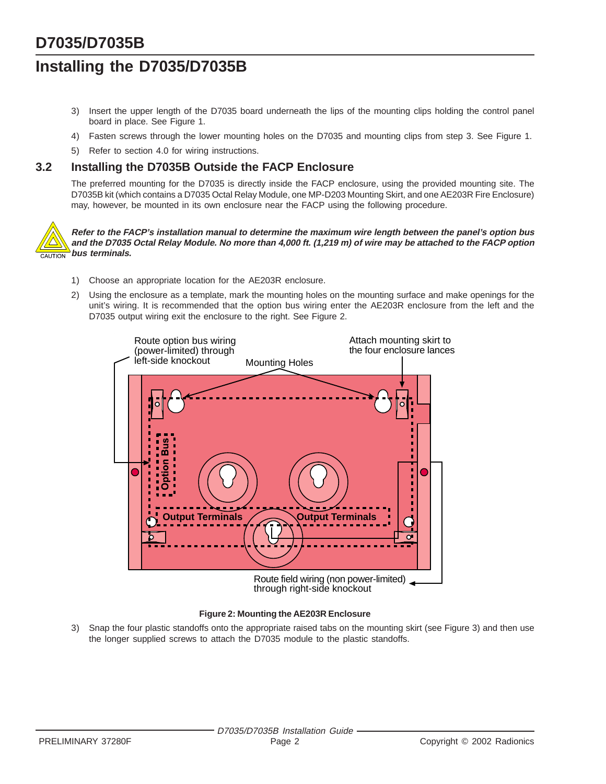# **D7035/D7035B**

# **Installing the D7035/D7035B**

- 3) Insert the upper length of the D7035 board underneath the lips of the mounting clips holding the control panel board in place. See Figure 1.
- 4) Fasten screws through the lower mounting holes on the D7035 and mounting clips from step 3. See Figure 1.
- 5) Refer to section 4.0 for wiring instructions.

### **3.2 Installing the D7035B Outside the FACP Enclosure**

The preferred mounting for the D7035 is directly inside the FACP enclosure, using the provided mounting site. The D7035B kit (which contains a D7035 Octal Relay Module, one MP-D203 Mounting Skirt, and one AE203R Fire Enclosure) may, however, be mounted in its own enclosure near the FACP using the following procedure.



**Refer to the FACP's installation manual to determine the maximum wire length between the panel's option bus and the D7035 Octal Relay Module. No more than 4,000 ft. (1,219 m) of wire may be attached to the FACP option bus terminals.**

- 1) Choose an appropriate location for the AE203R enclosure.
- 2) Using the enclosure as a template, mark the mounting holes on the mounting surface and make openings for the unit's wiring. It is recommended that the option bus wiring enter the AE203R enclosure from the left and the D7035 output wiring exit the enclosure to the right. See Figure 2.



#### **Figure 2: Mounting the AE203R Enclosure**

3) Snap the four plastic standoffs onto the appropriate raised tabs on the mounting skirt (see Figure 3) and then use the longer supplied screws to attach the D7035 module to the plastic standoffs.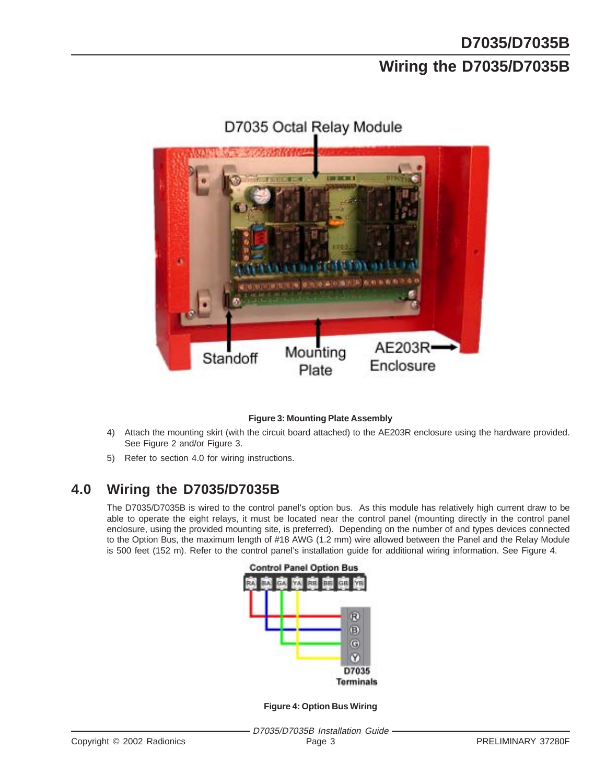# **D7035/D7035B Wiring the D7035/D7035B**



# D7035 Octal Relay Module

#### **Figure 3: Mounting Plate Assembly**

- 4) Attach the mounting skirt (with the circuit board attached) to the AE203R enclosure using the hardware provided. See Figure 2 and/or Figure 3.
- 5) Refer to section 4.0 for wiring instructions.

### **4.0 Wiring the D7035/D7035B**

The D7035/D7035B is wired to the control panel's option bus. As this module has relatively high current draw to be able to operate the eight relays, it must be located near the control panel (mounting directly in the control panel enclosure, using the provided mounting site, is preferred). Depending on the number of and types devices connected to the Option Bus, the maximum length of #18 AWG (1.2 mm) wire allowed between the Panel and the Relay Module is 500 feet (152 m). Refer to the control panel's installation guide for additional wiring information. See Figure 4.



**Figure 4: Option Bus Wiring**